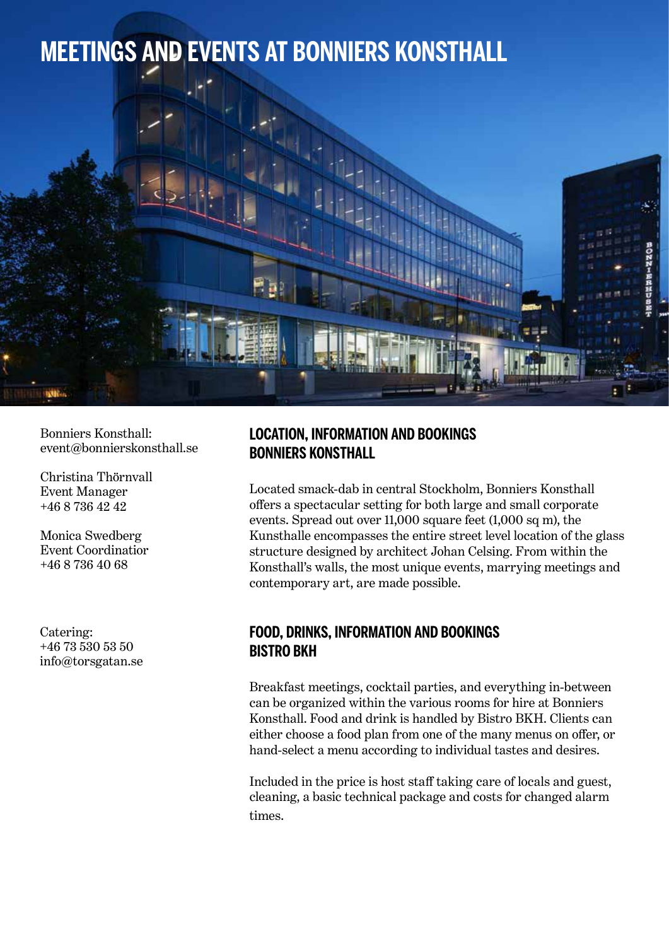

Bonniers Konsthall: event@bonnierskonsthall.se

Christina Thörnvall Event Manager +46 8 736 42 42

Monica Swedberg Event Coordinatior +46 8 736 40 68

Catering: +46 73 530 53 50 info@torsgatan.se

# **LOCATION, INFORMATION AND BOOKINGS BONNIERS KONSTHALL**

Located smack-dab in central Stockholm, Bonniers Konsthall offers a spectacular setting for both large and small corporate events. Spread out over 11,000 square feet (1,000 sq m), the Kunsthalle encompasses the entire street level location of the glass structure designed by architect Johan Celsing. From within the Konsthall's walls, the most unique events, marrying meetings and contemporary art, are made possible.

# **FOOD, DRINKS, INFORMATION AND BOOKINGS BISTRO BKH**

Breakfast meetings, cocktail parties, and everything in-between can be organized within the various rooms for hire at Bonniers Konsthall. Food and drink is handled by Bistro BKH. Clients can either choose a food plan from one of the many menus on offer, or hand-select a menu according to individual tastes and desires.

Included in the price is host staff taking care of locals and guest, cleaning, a basic technical package and costs for changed alarm times.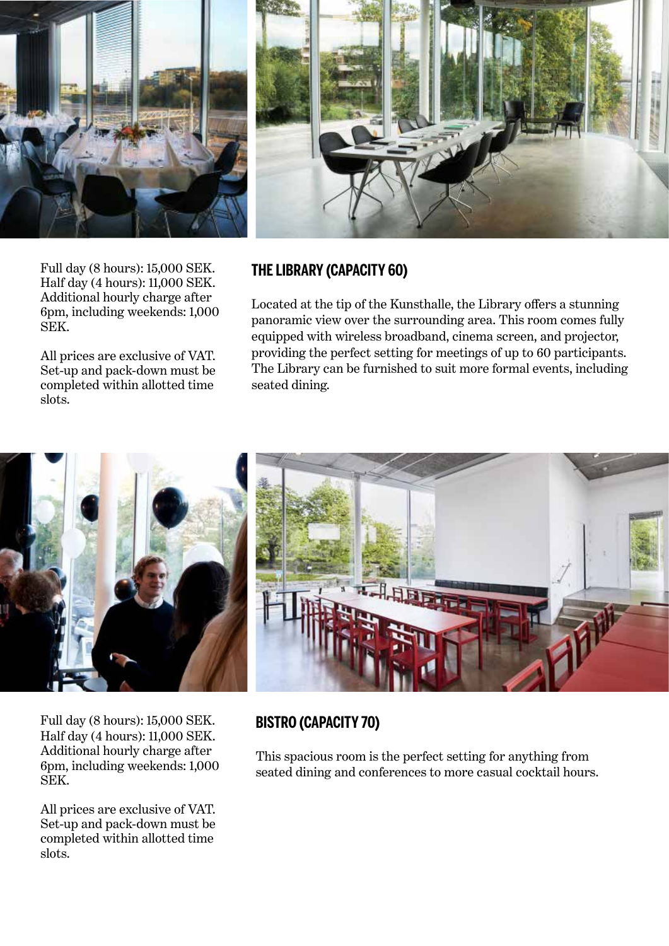

Full day (8 hours): 15,000 SEK. Half day (4 hours): 11,000 SEK. Additional hourly charge after 6pm, including weekends: 1,000 SEK.

All prices are exclusive of VAT. Set-up and pack-down must be completed within allotted time slots.

### **THE LIBRARY (CAPACITY 60)**

Located at the tip of the Kunsthalle, the Library offers a stunning panoramic view over the surrounding area. This room comes fully equipped with wireless broadband, cinema screen, and projector, providing the perfect setting for meetings of up to 60 participants. The Library can be furnished to suit more formal events, including seated dining.



Full day (8 hours): 15,000 SEK. Half day (4 hours): 11,000 SEK. Additional hourly charge after 6pm, including weekends: 1,000 SEK.

All prices are exclusive of VAT. Set-up and pack-down must be completed within allotted time slots.

# **BISTRO (CAPACITY 70)**

This spacious room is the perfect setting for anything from seated dining and conferences to more casual cocktail hours.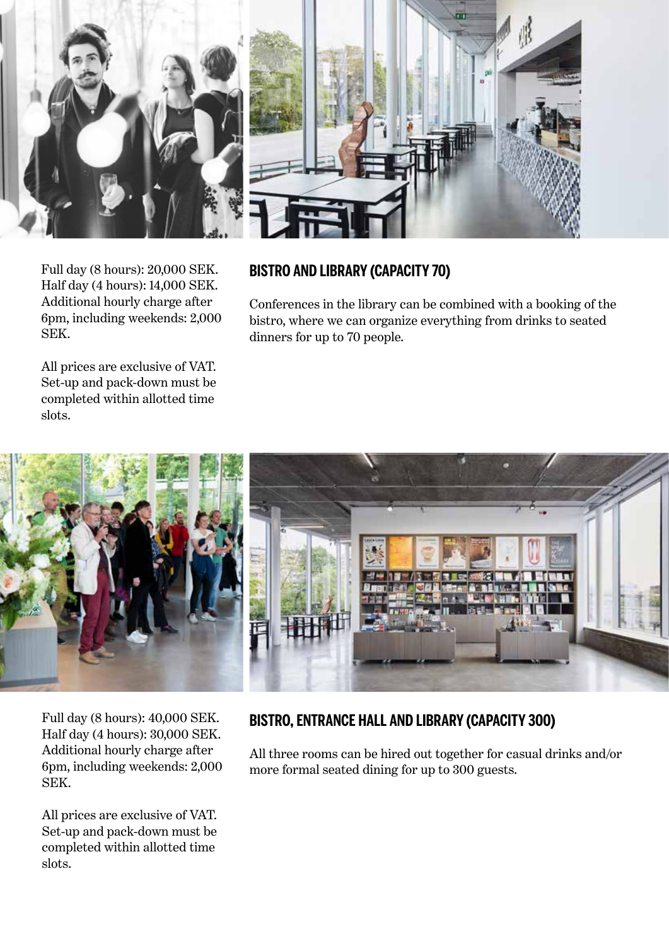

Full day (8 hours): 20,000 SEK. Half day (4 hours): 14,000 SEK. Additional hourly charge after 6pm, including weekends: 2,000 SEK.

All prices are exclusive of VAT. Set-up and pack-down must be completed within allotted time slots.

# **BISTRO AND LIBRARY (CAPACITY 70)**

Conferences in the library can be combined with a booking of the bistro, where we can organize everything from drinks to seated dinners for up to 70 people.



Full day (8 hours): 40,000 SEK. Half day (4 hours): 30,000 SEK. Additional hourly charge after 6pm, including weekends: 2,000 SEK.

All prices are exclusive of VAT. Set-up and pack-down must be completed within allotted time slots.

# **BISTRO, ENTRANCE HALL AND LIBRARY (CAPACITY 300)**

All three rooms can be hired out together for casual drinks and/or more formal seated dining for up to 300 guests.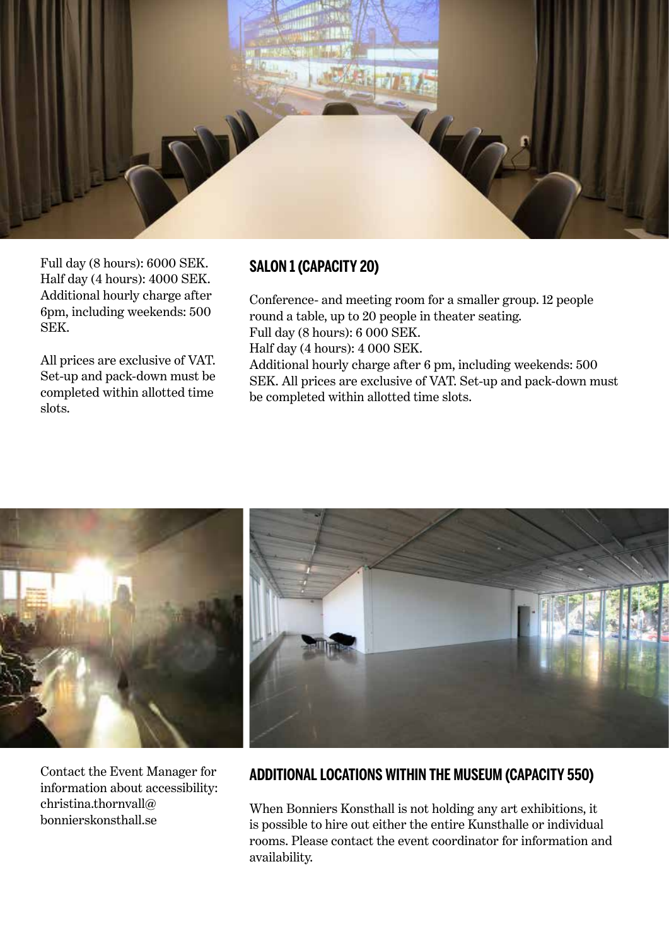

Full day (8 hours): 6000 SEK. Half day (4 hours): 4000 SEK. Additional hourly charge after 6pm, including weekends: 500 SEK.

All prices are exclusive of VAT. Set-up and pack-down must be completed within allotted time slots.

### **SALON 1 (CAPACITY 20)**

Conference- and meeting room for a smaller group. 12 people round a table, up to 20 people in theater seating. Full day (8 hours): 6 000 SEK. Half day (4 hours): 4 000 SEK. Additional hourly charge after 6 pm, including weekends: 500 SEK. All prices are exclusive of VAT. Set-up and pack-down must be completed within allotted time slots.



Contact the Event Manager for information about accessibility: christina.thornvall@ bonnierskonsthall.se

# **ADDITIONAL LOCATIONS WITHIN THE MUSEUM (CAPACITY 550)**

When Bonniers Konsthall is not holding any art exhibitions, it is possible to hire out either the entire Kunsthalle or individual rooms. Please contact the event coordinator for information and availability.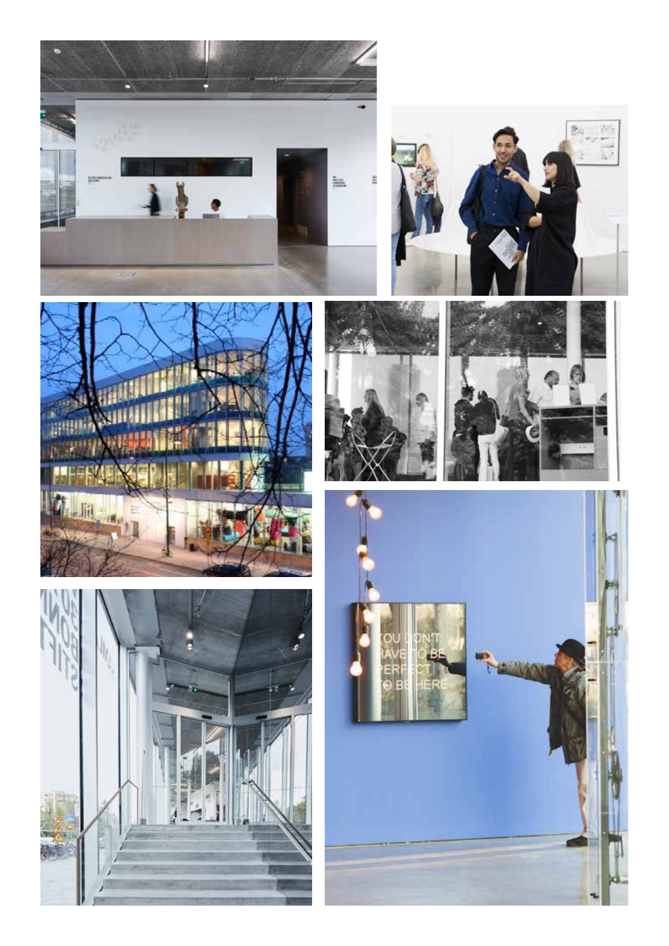